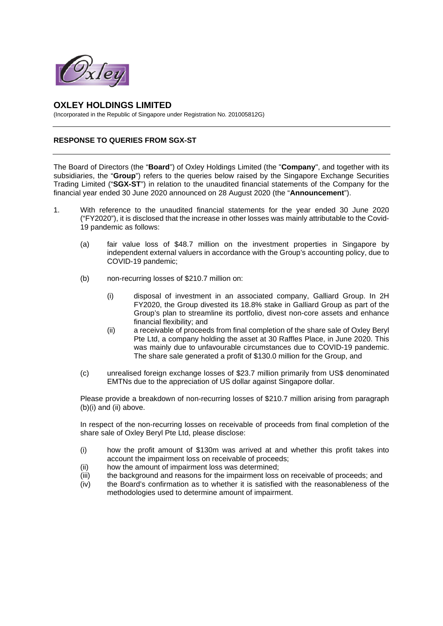

## **OXLEY HOLDINGS LIMITED**

(Incorporated in the Republic of Singapore under Registration No. 201005812G)

## **RESPONSE TO QUERIES FROM SGX-ST**

The Board of Directors (the "**Board**") of Oxley Holdings Limited (the "**Company**", and together with its subsidiaries, the "**Group**") refers to the queries below raised by the Singapore Exchange Securities Trading Limited ("**SGX-ST**") in relation to the unaudited financial statements of the Company for the financial year ended 30 June 2020 announced on 28 August 2020 (the "**Announcement**").

- 1. With reference to the unaudited financial statements for the year ended 30 June 2020 ("FY2020"), it is disclosed that the increase in other losses was mainly attributable to the Covid-19 pandemic as follows:
	- (a) fair value loss of \$48.7 million on the investment properties in Singapore by independent external valuers in accordance with the Group's accounting policy, due to COVID-19 pandemic;
	- (b) non-recurring losses of \$210.7 million on:
		- (i) disposal of investment in an associated company, Galliard Group. In 2H FY2020, the Group divested its 18.8% stake in Galliard Group as part of the Group's plan to streamline its portfolio, divest non-core assets and enhance financial flexibility; and
		- (ii) a receivable of proceeds from final completion of the share sale of Oxley Beryl Pte Ltd, a company holding the asset at 30 Raffles Place, in June 2020. This was mainly due to unfavourable circumstances due to COVID-19 pandemic. The share sale generated a profit of \$130.0 million for the Group, and
	- (c) unrealised foreign exchange losses of \$23.7 million primarily from US\$ denominated EMTNs due to the appreciation of US dollar against Singapore dollar.

Please provide a breakdown of non-recurring losses of \$210.7 million arising from paragraph (b)(i) and (ii) above.

In respect of the non-recurring losses on receivable of proceeds from final completion of the share sale of Oxley Beryl Pte Ltd, please disclose:

- (i) how the profit amount of \$130m was arrived at and whether this profit takes into account the impairment loss on receivable of proceeds;
- (ii) how the amount of impairment loss was determined;
- (iii) the background and reasons for the impairment loss on receivable of proceeds; and
- (iv) the Board's confirmation as to whether it is satisfied with the reasonableness of the methodologies used to determine amount of impairment.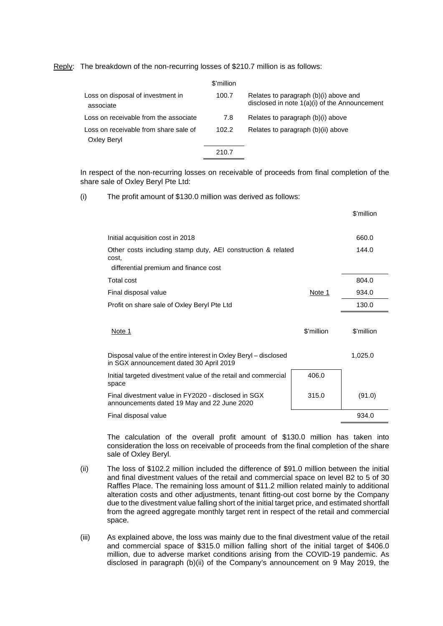Reply: The breakdown of the non-recurring losses of \$210.7 million is as follows:

|                                                      | \$'million |                                                                                        |
|------------------------------------------------------|------------|----------------------------------------------------------------------------------------|
| Loss on disposal of investment in<br>associate       | 100.7      | Relates to paragraph (b)(i) above and<br>disclosed in note 1(a)(i) of the Announcement |
| Loss on receivable from the associate                | 7.8        | Relates to paragraph (b)(i) above                                                      |
| Loss on receivable from share sale of<br>Oxley Beryl | 102.2      | Relates to paragraph (b)(ii) above                                                     |
|                                                      | 210.7      |                                                                                        |

In respect of the non-recurring losses on receivable of proceeds from final completion of the share sale of Oxley Beryl Pte Ltd:

(i) The profit amount of \$130.0 million was derived as follows:

|                                                                                                             |            | \$'million |
|-------------------------------------------------------------------------------------------------------------|------------|------------|
|                                                                                                             |            |            |
| Initial acquisition cost in 2018                                                                            | 660.0      |            |
| Other costs including stamp duty, AEI construction & related<br>cost.                                       | 144.0      |            |
| differential premium and finance cost                                                                       |            |            |
| Total cost                                                                                                  | 804.0      |            |
| Final disposal value                                                                                        | Note 1     | 934.0      |
| Profit on share sale of Oxley Beryl Pte Ltd                                                                 | 130.0      |            |
|                                                                                                             |            |            |
| Note 1                                                                                                      | \$'million | \$'million |
|                                                                                                             |            |            |
| Disposal value of the entire interest in Oxley Beryl – disclosed<br>in SGX announcement dated 30 April 2019 |            | 1,025.0    |
| Initial targeted divestment value of the retail and commercial<br>space                                     | 406.0      |            |
| Final divestment value in FY2020 - disclosed in SGX<br>announcements dated 19 May and 22 June 2020          | 315.0      | (91.0)     |
| Final disposal value                                                                                        |            | 934.0      |
|                                                                                                             |            |            |

The calculation of the overall profit amount of \$130.0 million has taken into consideration the loss on receivable of proceeds from the final completion of the share sale of Oxley Beryl.

- (ii) The loss of \$102.2 million included the difference of \$91.0 million between the initial and final divestment values of the retail and commercial space on level B2 to 5 of 30 Raffles Place. The remaining loss amount of \$11.2 million related mainly to additional alteration costs and other adjustments, tenant fitting-out cost borne by the Company due to the divestment value falling short of the initial target price, and estimated shortfall from the agreed aggregate monthly target rent in respect of the retail and commercial space.
- (iii) As explained above, the loss was mainly due to the final divestment value of the retail and commercial space of \$315.0 million falling short of the initial target of \$406.0 million, due to adverse market conditions arising from the COVID-19 pandemic. As disclosed in paragraph (b)(ii) of the Company's announcement on 9 May 2019, the